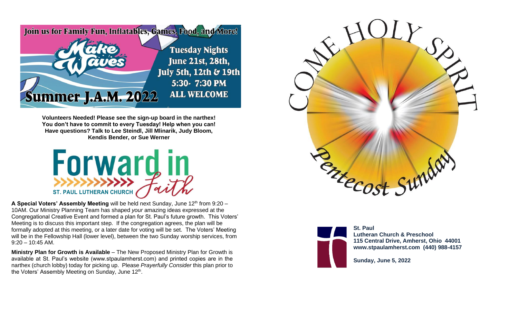

**Volunteers Needed! Please see the sign-up board in the narthex! You don't have to commit to every Tuesday! Help when you can! Have questions? Talk to Lee Steindl, Jill Mlinarik, Judy Bloom, Kendis Bender, or Sue Werner**



**A Special Voters' Assembly Meeting** will be held next Sunday, June 12<sup>th</sup> from 9:20 – 10AM. Our Ministry Planning Team has shaped *your* amazing ideas expressed at the Congregational Creative Event and formed a plan for St. Paul's future growth. This Voters' Meeting is to discuss this important step. If the congregation agrees, the plan will be formally adopted at this meeting, or a later date for voting will be set. The Voters' Meeting will be in the Fellowship Hall (lower level), between the two Sunday worship services, from  $9:20 - 10:45$  AM.

**Ministry Plan for Growth is Available** – The New Proposed Ministry Plan for Growth is available at St. Paul's website (www.stpaulamherst.com) and printed copies are in the narthex (church lobby) today for picking up. Please *Prayerfully Consider* this plan prior to the Voters' Assembly Meeting on Sunday, June 12<sup>th</sup>.





**St. Paul Lutheran Church & Preschool 115 Central Drive, Amherst, Ohio 44001 www.stpaulamherst.com (440) 988-4157**

**Sunday, June 5, 2022**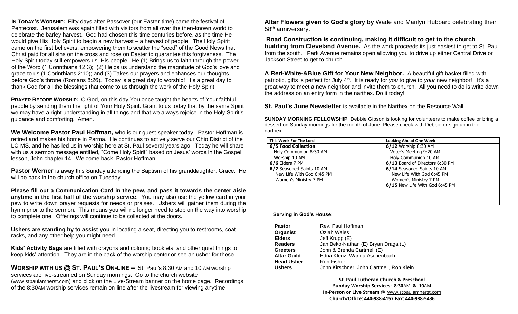**IN TODAY'S WORSHIP:** Fifty days after Passover (our Easter-time) came the festival of Pentecost. Jerusalem was again filled with visitors from all over the then-known world to celebrate the barley harvest. God had chosen this time centuries before, as the time He would give His Holy Spirit to begin a new harvest – a harvest of people. The Holy Spirit came on the first believers, empowering them to scatter the "seed" of the Good News that Christ paid for all sins on the cross and rose on Easter to guarantee this forgiveness. The Holy Spirit today still empowers us, His people. He (1) Brings us to faith through the power of the Word (1 Corinthians 12:3); (2) Helps us understand the magnitude of God's love and grace to us (1 Corinthians 2:10); and (3) Takes our prayers and enhances our thoughts before God's throne (Romans 8:26). Today is a great day to worship! It's a great day to thank God for all the blessings that come to us through the work of the Holy Spirit!

**PRAYER BEFORE WORSHIP:** O God, on this day You once taught the hearts of Your faithful people by sending them the light of Your Holy Spirit. Grant to us today that by the same Spirit we may have a right understanding in all things and that we always rejoice in the Holy Spirit's guidance and comforting. Amen.

**We Welcome Pastor Paul Hoffman,** who is our guest speaker today. Pastor Hoffman is retired and makes his home in Parma. He continues to actively serve our Ohio District of the LC-MS, and he has led us in worship here at St. Paul several years ago. Today he will share with us a sermon message entitled, "Come Holy Spirit" based on Jesus' words in the Gospel lesson, John chapter 14. Welcome back, Pastor Hoffman!

**Pastor Werner** is away this Sunday attending the Baptism of his granddaughter, Grace. He will be back in the church office on Tuesday.

**Please fill out a Communication Card in the pew, and pass it towards the center aisle anytime in the first half of the worship service**. You may also use the yellow card in your pew to write down prayer requests for needs or praises. Ushers will gather them during the hymn prior to the sermon. This means you will no longer need to stop on the way into worship to complete one. Offerings will continue to be collected at the doors.

**Ushers are standing by to assist you** in locating a seat, directing you to restrooms, coat racks, and any other help you might need.

**Kids' Activity Bags** are filled with crayons and coloring booklets, and other quiet things to keep kids' attention. They are in the back of the worship center or see an usher for these.

**WORSHIP WITH US @ ST. PAUL'S ON-LINE --** St. Paul's 8:30 AM and 10 AM worship services are live-streamed on Sunday mornings. Go to the church website (www.stpaulamherst.com) and click on the Live-Stream banner on the home page. Recordings of the 8:30AM worship services remain on-line after the livestream for viewing anytime.

**Altar Flowers given to God's glory by** Wade and Marilyn Hubbard celebrating their 58<sup>th</sup> anniversary.

**Road Construction is continuing, making it difficult to get to the church building from Cleveland Avenue.** As the work proceeds its just easiest to get to St. Paul from the south. Park Avenue remains open allowing you to drive up either Central Drive or Jackson Street to get to church.

**A Red-White-&Blue Gift for Your New Neighbor.**A beautiful gift basket filled with patriotic, gifts is perfect for July 4<sup>th</sup>. It is ready for *you* to give to *your* new neighbor! It's a great way to meet a new neighbor and invite them to church. All you need to do is write down the address on an entry form in the narthex. Do it today!

**St. Paul's June Newsletter** is available in the Narthex on the Resource Wall.

**SUNDAY MORNING FELLOWSHIP** Debbie Gibson is looking for volunteers to make coffee or bring a dessert on Sunday mornings for the month of June. Please check with Debbie or sign up in the narthex.

| This Week For The Lord    | <b>Looking Ahead One Week</b>   |
|---------------------------|---------------------------------|
| 6/5 Food Collection       | 6/12 Worship 8:30 AM            |
| Holy Communion 8:30 AM    | Voter's Meeting 9:20 AM         |
| Worship 10 AM             | Holy Communion 10 AM            |
| $6/6$ Elders 7 PM         | 6/13 Board of Directors 6:30 PM |
| 6/7 Seasoned Saints 10 AM | 6/14 Seasoned Saints 10 AM      |
| New Life With God 6:45 PM | New Life With God 6:45 PM       |
| Women's Ministry 7 PM     | Women's Ministry 7 PM           |
|                           | 6/15 New Life With God 6:45 PM  |
|                           |                                 |
|                           |                                 |
|                           |                                 |

## **Serving in God's House:**

| Rev. Paul Hoffman                        |
|------------------------------------------|
| Oziah Wales                              |
| Jeff Krupp (E)                           |
| Jan Beko-Nathan (E) Bryan Draga (L)      |
| John & Brenda Cartmell (E)               |
| Edna Klenz, Wanda Aschenbach             |
| Ron Fisher                               |
| John Kirschner, John Cartmell, Ron Klein |
|                                          |

**St. Paul Lutheran Church & Preschool Sunday Worship Services: 8:30**AM **& 10**AM **In-Person or Live Stream** @ [www.stpaulamherst.com](http://www.stpaulamherst.com/) **Church/Office: 440-988-4157 Fax: 440-988-5436**